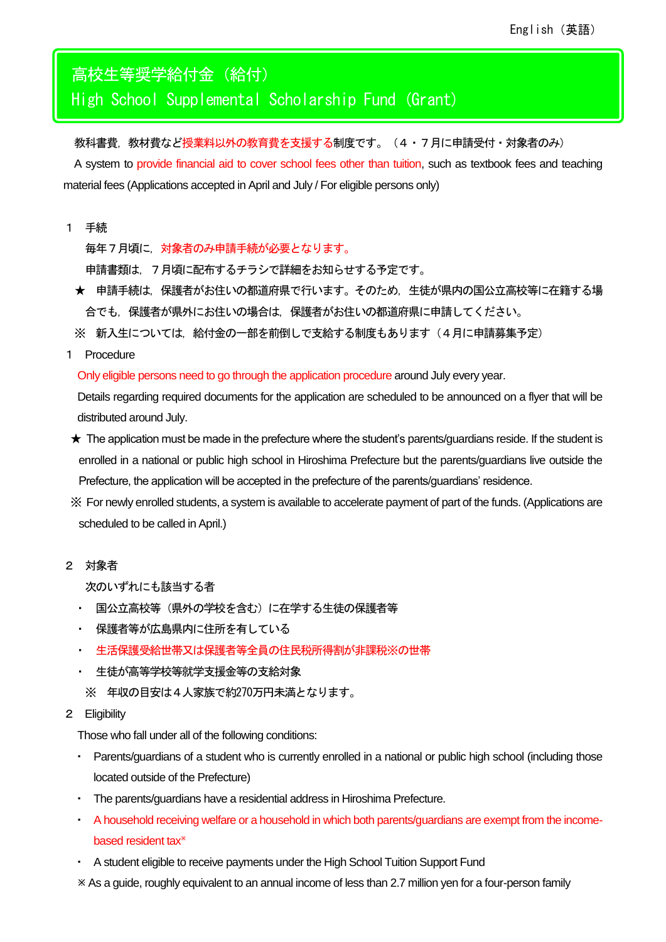高校生等奨学給付金(給付) High School Supplemental Scholarship Fund (Grant)

教科書費,教材費など授業料以外の教育費を支援する制度です。(4・7月に申請受付・対象者のみ) A system to provide financial aid to cover school fees other than tuition, such as textbook fees and teaching material fees (Applications accepted in April and July / For eligible persons only)

1 手続

毎年7月頃に,対象者のみ申請手続が必要となります。

申請書類は,7月頃に配布するチラシで詳細をお知らせする予定です。

- ★ 申請手続は,保護者がお住いの都道府県で行います。そのため,生徒が県内の国公立高校等に在籍する場 合でも,保護者が県外にお住いの場合は,保護者がお住いの都道府県に申請してください。
- ※ 新入生については、給付金の一部を前倒しで支給する制度もあります(4月に申請募集予定)
- 1 Procedure

Only eligible persons need to go through the application procedure around July every year.

Details regarding required documents for the application are scheduled to be announced on a flyer that will be distributed around July.

- ★ The application must be made in the prefecture where the student's parents/guardians reside. If the student is enrolled in a national or public high school in Hiroshima Prefecture but the parents/guardians live outside the Prefecture, the application will be accepted in the prefecture of the parents/guardians' residence.
- ※ For newly enrolled students, a system is available to accelerate payment of part of the funds. (Applications are scheduled to be called in April.)
- 2 対象者

次のいずれにも該当する者

- ・ 国公立高校等(県外の学校を含む)に在学する生徒の保護者等
- ・ 保護者等が広島県内に住所を有している
- ・ 生活保護受給世帯又は保護者等全員の住民税所得割が非課税※の世帯
- 生徒が高等学校等就学支援金等の支給対象

※ 年収の目安は4人家族で約270万円未満となります。

2 Eligibility

Those who fall under all of the following conditions:

- ・ Parents/guardians of a student who is currently enrolled in a national or public high school (including those located outside of the Prefecture)
- ・ The parents/guardians have a residential address in Hiroshima Prefecture.
- ・ A household receiving welfare or a household in which both parents/guardians are exempt from the incomebased resident tax
- A student eligible to receive payments under the High School Tuition Support Fund
- As a guide, roughly equivalent to an annual income of less than 2.7 million yen for a four-person family